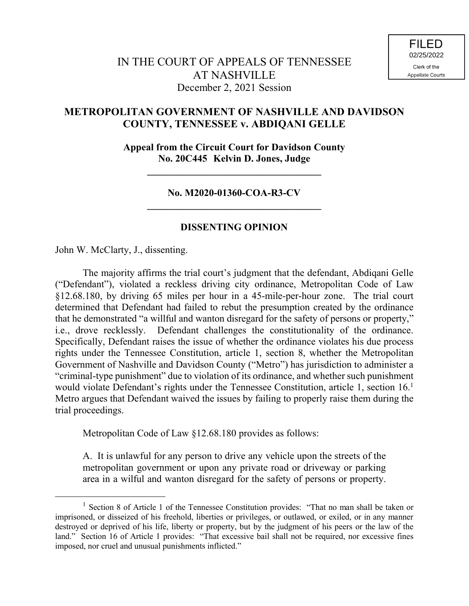## **METROPOLITAN GOVERNMENT OF NASHVILLE AND DAVIDSON COUNTY, TENNESSEE v. ABDIQANI GELLE**

**Appeal from the Circuit Court for Davidson County No. 20C445 Kelvin D. Jones, Judge**

**\_\_\_\_\_\_\_\_\_\_\_\_\_\_\_\_\_\_\_\_\_\_\_\_\_\_\_\_\_\_\_\_\_\_\_**

## **No. M2020-01360-COA-R3-CV \_\_\_\_\_\_\_\_\_\_\_\_\_\_\_\_\_\_\_\_\_\_\_\_\_\_\_\_\_\_\_\_\_\_\_**

## **DISSENTING OPINION**

John W. McClarty, J., dissenting.

 $\overline{a}$ 

The majority affirms the trial court's judgment that the defendant, Abdiqani Gelle ("Defendant"), violated a reckless driving city ordinance, Metropolitan Code of Law §12.68.180, by driving 65 miles per hour in a 45-mile-per-hour zone. The trial court determined that Defendant had failed to rebut the presumption created by the ordinance that he demonstrated "a willful and wanton disregard for the safety of persons or property," i.e., drove recklessly. Defendant challenges the constitutionality of the ordinance. Specifically, Defendant raises the issue of whether the ordinance violates his due process rights under the Tennessee Constitution, article 1, section 8, whether the Metropolitan Government of Nashville and Davidson County ("Metro") has jurisdiction to administer a "criminal-type punishment" due to violation of its ordinance, and whether such punishment would violate Defendant's rights under the Tennessee Constitution, article 1, section 16.<sup>1</sup> Metro argues that Defendant waived the issues by failing to properly raise them during the trial proceedings.

Metropolitan Code of Law §12.68.180 provides as follows:

A. It is unlawful for any person to drive any vehicle upon the streets of the metropolitan government or upon any private road or driveway or parking area in a wilful and wanton disregard for the safety of persons or property.

<sup>&</sup>lt;sup>1</sup> Section 8 of Article 1 of the Tennessee Constitution provides: "That no man shall be taken or imprisoned, or disseized of his freehold, liberties or privileges, or outlawed, or exiled, or in any manner destroyed or deprived of his life, liberty or property, but by the judgment of his peers or the law of the land." Section 16 of Article 1 provides: "That excessive bail shall not be required, nor excessive fines imposed, nor cruel and unusual punishments inflicted."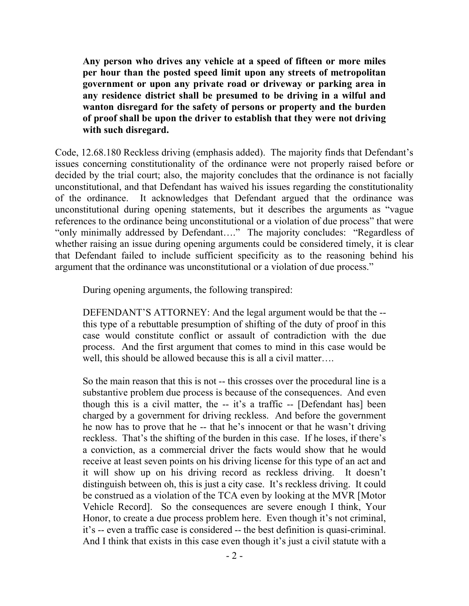**Any person who drives any vehicle at a speed of fifteen or more miles per hour than the posted speed limit upon any streets of metropolitan government or upon any private road or driveway or parking area in any residence district shall be presumed to be driving in a wilful and wanton disregard for the safety of persons or property and the burden of proof shall be upon the driver to establish that they were not driving with such disregard.**

Code, 12.68.180 Reckless driving (emphasis added). The majority finds that Defendant's issues concerning constitutionality of the ordinance were not properly raised before or decided by the trial court; also, the majority concludes that the ordinance is not facially unconstitutional, and that Defendant has waived his issues regarding the constitutionality of the ordinance. It acknowledges that Defendant argued that the ordinance was unconstitutional during opening statements, but it describes the arguments as "vague references to the ordinance being unconstitutional or a violation of due process" that were "only minimally addressed by Defendant…." The majority concludes: "Regardless of whether raising an issue during opening arguments could be considered timely, it is clear that Defendant failed to include sufficient specificity as to the reasoning behind his argument that the ordinance was unconstitutional or a violation of due process."

During opening arguments, the following transpired:

DEFENDANT'S ATTORNEY: And the legal argument would be that the - this type of a rebuttable presumption of shifting of the duty of proof in this case would constitute conflict or assault of contradiction with the due process. And the first argument that comes to mind in this case would be well, this should be allowed because this is all a civil matter….

So the main reason that this is not -- this crosses over the procedural line is a substantive problem due process is because of the consequences. And even though this is a civil matter, the -- it's a traffic -- [Defendant has] been charged by a government for driving reckless. And before the government he now has to prove that he -- that he's innocent or that he wasn't driving reckless. That's the shifting of the burden in this case. If he loses, if there's a conviction, as a commercial driver the facts would show that he would receive at least seven points on his driving license for this type of an act and it will show up on his driving record as reckless driving. It doesn't distinguish between oh, this is just a city case. It's reckless driving. It could be construed as a violation of the TCA even by looking at the MVR [Motor Vehicle Record]. So the consequences are severe enough I think, Your Honor, to create a due process problem here. Even though it's not criminal, it's -- even a traffic case is considered -- the best definition is quasi-criminal. And I think that exists in this case even though it's just a civil statute with a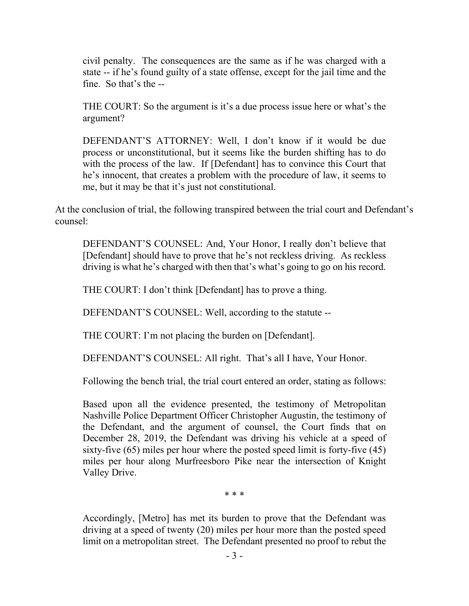civil penalty. The consequences are the same as if he was charged with a state -- if he's found guilty of a state offense, except for the jail time and the fine. So that's the --

THE COURT: So the argument is it's a due process issue here or what's the argument?

DEFENDANT'S ATTORNEY: Well, I don't know if it would be due process or unconstitutional, but it seems like the burden shifting has to do with the process of the law. If [Defendant] has to convince this Court that he's innocent, that creates a problem with the procedure of law, it seems to me, but it may be that it's just not constitutional.

At the conclusion of trial, the following transpired between the trial court and Defendant's counsel:

DEFENDANT'S COUNSEL: And, Your Honor, I really don't believe that [Defendant] should have to prove that he's not reckless driving. As reckless driving is what he's charged with then that's what's going to go on his record.

THE COURT: I don't think [Defendant] has to prove a thing.

DEFENDANT'S COUNSEL: Well, according to the statute --

THE COURT: I'm not placing the burden on [Defendant].

DEFENDANT'S COUNSEL: All right. That's all I have, Your Honor.

Following the bench trial, the trial court entered an order, stating as follows:

Based upon all the evidence presented, the testimony of Metropolitan Nashville Police Department Officer Christopher Augustin, the testimony of the Defendant, and the argument of counsel, the Court finds that on December 28, 2019, the Defendant was driving his vehicle at a speed of sixty-five (65) miles per hour where the posted speed limit is forty-five (45) miles per hour along Murfreesboro Pike near the intersection of Knight Valley Drive.

\* \* \*

Accordingly, [Metro] has met its burden to prove that the Defendant was driving at a speed of twenty (20) miles per hour more than the posted speed limit on a metropolitan street. The Defendant presented no proof to rebut the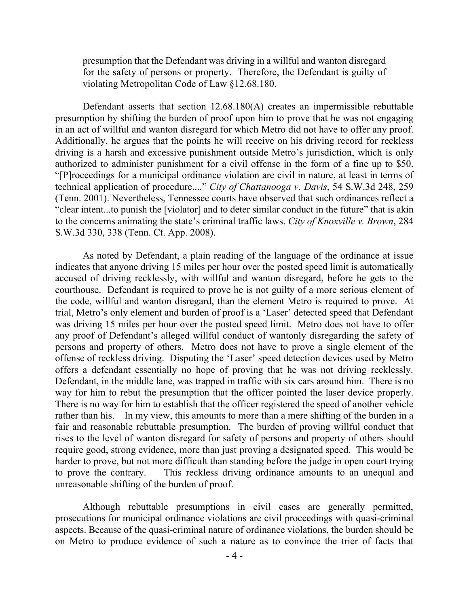presumption that the Defendant was driving in a willful and wanton disregard for the safety of persons or property. Therefore, the Defendant is guilty of violating Metropolitan Code of Law §12.68.180.

Defendant asserts that section 12.68.180(A) creates an impermissible rebuttable presumption by shifting the burden of proof upon him to prove that he was not engaging in an act of willful and wanton disregard for which Metro did not have to offer any proof. Additionally, he argues that the points he will receive on his driving record for reckless driving is a harsh and excessive punishment outside Metro's jurisdiction, which is only authorized to administer punishment for a civil offense in the form of a fine up to \$50. "[P]roceedings for a municipal ordinance violation are civil in nature, at least in terms of technical application of procedure...." *City of Chattanooga v. Davis*, 54 S.W.3d 248, 259 (Tenn. 2001). Nevertheless, Tennessee courts have observed that such ordinances reflect a "clear intent...to punish the [violator] and to deter similar conduct in the future" that is akin to the concerns animating the state's criminal traffic laws. *City of Knoxville v. Brown*, 284 S.W.3d 330, 338 (Tenn. Ct. App. 2008).

As noted by Defendant, a plain reading of the language of the ordinance at issue indicates that anyone driving 15 miles per hour over the posted speed limit is automatically accused of driving recklessly, with willful and wanton disregard, before he gets to the courthouse. Defendant is required to prove he is not guilty of a more serious element of the code, willful and wanton disregard, than the element Metro is required to prove. At trial, Metro's only element and burden of proof is a 'Laser' detected speed that Defendant was driving 15 miles per hour over the posted speed limit. Metro does not have to offer any proof of Defendant's alleged willful conduct of wantonly disregarding the safety of persons and property of others. Metro does not have to prove a single element of the offense of reckless driving. Disputing the 'Laser' speed detection devices used by Metro offers a defendant essentially no hope of proving that he was not driving recklessly. Defendant, in the middle lane, was trapped in traffic with six cars around him. There is no way for him to rebut the presumption that the officer pointed the laser device properly. There is no way for him to establish that the officer registered the speed of another vehicle rather than his. In my view, this amounts to more than a mere shifting of the burden in a fair and reasonable rebuttable presumption. The burden of proving willful conduct that rises to the level of wanton disregard for safety of persons and property of others should require good, strong evidence, more than just proving a designated speed. This would be harder to prove, but not more difficult than standing before the judge in open court trying to prove the contrary. This reckless driving ordinance amounts to an unequal and unreasonable shifting of the burden of proof.

Although rebuttable presumptions in civil cases are generally permitted, prosecutions for municipal ordinance violations are civil proceedings with quasi-criminal aspects. Because of the quasi-criminal nature of ordinance violations, the burden should be on Metro to produce evidence of such a nature as to convince the trier of facts that